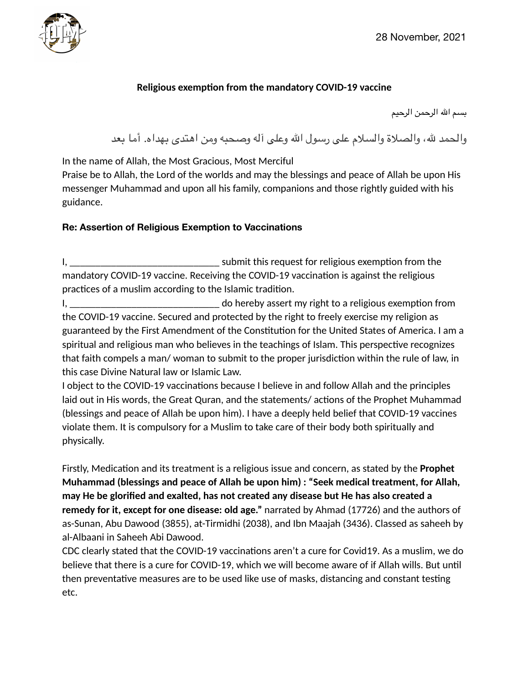

## **Religious exemption from the mandatory COVID-19 vaccine**

بسم الله الرحمن الرحیم

والحمد لله، والصلاة والسلام على رسول الله وعلى آله وصحبه ومن اهتدى بهداه. أما بعد

In the name of Allah, the Most Gracious, Most Merciful

Praise be to Allah, the Lord of the worlds and may the blessings and peace of Allah be upon His messenger Muhammad and upon all his family, companions and those rightly guided with his guidance.

## **Re: Assertion of Religious Exemption to Vaccinations**

I, \_\_\_\_\_\_\_\_\_\_\_\_\_\_\_\_\_\_\_\_\_\_\_\_\_\_\_\_\_ submit this request for religious exemption from the mandatory COVID-19 vaccine. Receiving the COVID-19 vaccination is against the religious practices of a muslim according to the Islamic tradition.

I, \_\_\_\_\_\_\_\_\_\_\_\_\_\_\_\_\_\_\_\_\_\_\_\_\_\_\_\_\_ do hereby assert my right to a religious exemption from the COVID-19 vaccine. Secured and protected by the right to freely exercise my religion as guaranteed by the First Amendment of the Constitution for the United States of America. I am a spiritual and religious man who believes in the teachings of Islam. This perspective recognizes that faith compels a man/ woman to submit to the proper jurisdiction within the rule of law, in this case Divine Natural law or Islamic Law.

I object to the COVID-19 vaccinations because I believe in and follow Allah and the principles laid out in His words, the Great Quran, and the statements/ actions of the Prophet Muhammad (blessings and peace of Allah be upon him). I have a deeply held belief that COVID-19 vaccines violate them. It is compulsory for a Muslim to take care of their body both spiritually and physically.

Firstly, Medication and its treatment is a religious issue and concern, as stated by the **Prophet Muhammad (blessings and peace of Allah be upon him) : "Seek medical treatment, for Allah, may He be glorified and exalted, has not created any disease but He has also created a remedy for it, except for one disease: old age."** narrated by Ahmad (17726) and the authors of as-Sunan, Abu Dawood (3855), at-Tirmidhi (2038), and Ibn Maajah (3436). Classed as saheeh by al-Albaani in Saheeh Abi Dawood.

CDC clearly stated that the COVID-19 vaccinations aren't a cure for Covid19. As a muslim, we do believe that there is a cure for COVID-19, which we will become aware of if Allah wills. But until then preventative measures are to be used like use of masks, distancing and constant testing etc.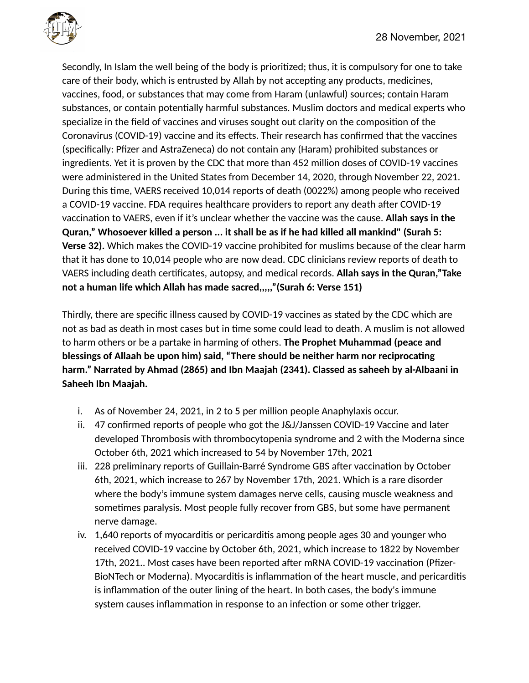

Secondly, In Islam the well being of the body is prioritized; thus, it is compulsory for one to take care of their body, which is entrusted by Allah by not accepting any products, medicines, vaccines, food, or substances that may come from Haram (unlawful) sources; contain Haram substances, or contain potentially harmful substances. Muslim doctors and medical experts who specialize in the field of vaccines and viruses sought out clarity on the composition of the Coronavirus (COVID-19) vaccine and its effects. Their research has confirmed that the vaccines (specifically: Pfizer and AstraZeneca) do not contain any (Haram) prohibited substances or ingredients. Yet it is proven by the CDC that more than 452 million doses of COVID-19 vaccines were administered in the United States from December 14, 2020, through November 22, 2021. During this time, VAERS received 10,014 reports of death (0022%) among people who received a COVID-19 vaccine. FDA requires healthcare providers to report any death after COVID-19 vaccination to VAERS, even if it's unclear whether the vaccine was the cause. **Allah says in the Quran," Whosoever killed a person ... it shall be as if he had killed all mankind" (Surah 5: Verse 32).** Which makes the COVID-19 vaccine prohibited for muslims because of the clear harm that it has done to 10,014 people who are now dead. CDC clinicians review reports of death to VAERS including death certificates, autopsy, and medical records. **Allah says in the Quran,"Take not a human life which Allah has made sacred,,,,,"(Surah 6: Verse 151)**

Thirdly, there are specific illness caused by COVID-19 vaccines as stated by the CDC which are not as bad as death in most cases but in time some could lead to death. A muslim is not allowed to harm others or be a partake in harming of others. **The Prophet Muhammad (peace and blessings of Allaah be upon him) said, "There should be neither harm nor reciprocating harm." Narrated by Ahmad (2865) and Ibn Maajah (2341). Classed as saheeh by al-Albaani in Saheeh Ibn Maajah.**

- i. As of November 24, 2021, in 2 to 5 per million people Anaphylaxis occur.
- ii. 47 confirmed reports of people who got the J&J/Janssen COVID-19 Vaccine and later developed Thrombosis with thrombocytopenia syndrome and 2 with the Moderna since October 6th, 2021 which increased to 54 by November 17th, 2021
- iii. 228 preliminary reports of Guillain-Barré Syndrome GBS after vaccination by October 6th, 2021, which increase to 267 by November 17th, 2021. Which is a rare disorder where the body's immune system damages nerve cells, causing muscle weakness and sometimes paralysis. Most people fully recover from GBS, but some have permanent nerve damage.
- iv. 1,640 reports of myocarditis or pericarditis among people ages 30 and younger who received COVID-19 vaccine by October 6th, 2021, which increase to 1822 by November 17th, 2021.. Most cases have been reported after mRNA COVID-19 vaccination (Pfizer-BioNTech or Moderna). Myocarditis is inflammation of the heart muscle, and pericarditis is inflammation of the outer lining of the heart. In both cases, the body's immune system causes inflammation in response to an infection or some other trigger.